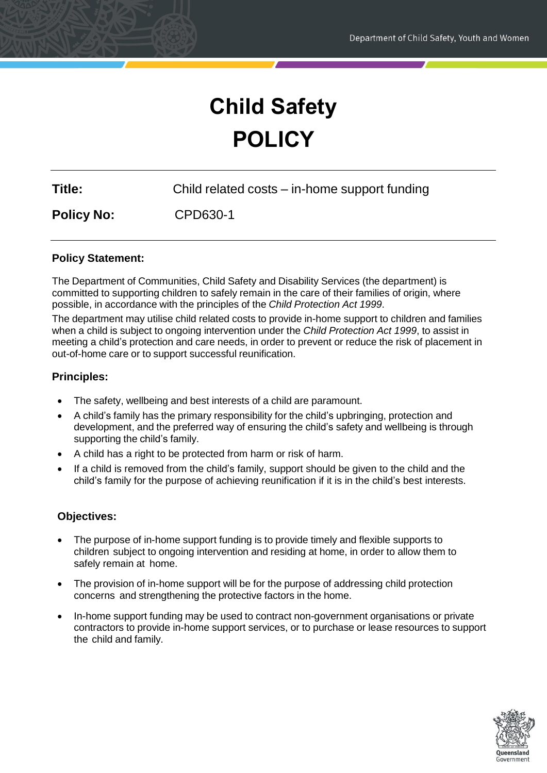# **Child Safety POLICY**

| Child related costs – in-home support funding |
|-----------------------------------------------|
|                                               |

**Policy No:** CPD630-1

## **Policy Statement:**

The Department of Communities, Child Safety and Disability Services (the department) is committed to supporting children to safely remain in the care of their families of origin, where possible, in accordance with the principles of the *Child Protection Act 1999*.

The department may utilise child related costs to provide in-home support to children and families when a child is subject to ongoing intervention under the *Child Protection Act 1999*, to assist in meeting a child's protection and care needs, in order to prevent or reduce the risk of placement in out-of-home care or to support successful reunification.

## **Principles:**

- The safety, wellbeing and best interests of a child are paramount.
- A child's family has the primary responsibility for the child's upbringing, protection and development, and the preferred way of ensuring the child's safety and wellbeing is through supporting the child's family.
- A child has a right to be protected from harm or risk of harm.
- If a child is removed from the child's family, support should be given to the child and the child's family for the purpose of achieving reunification if it is in the child's best interests.

## **Objectives:**

- The purpose of in-home support funding is to provide timely and flexible supports to children subject to ongoing intervention and residing at home, in order to allow them to safely remain at home.
- The provision of in-home support will be for the purpose of addressing child protection concerns and strengthening the protective factors in the home.
- In-home support funding may be used to contract non-government organisations or private contractors to provide in-home support services, or to purchase or lease resources to support the child and family.

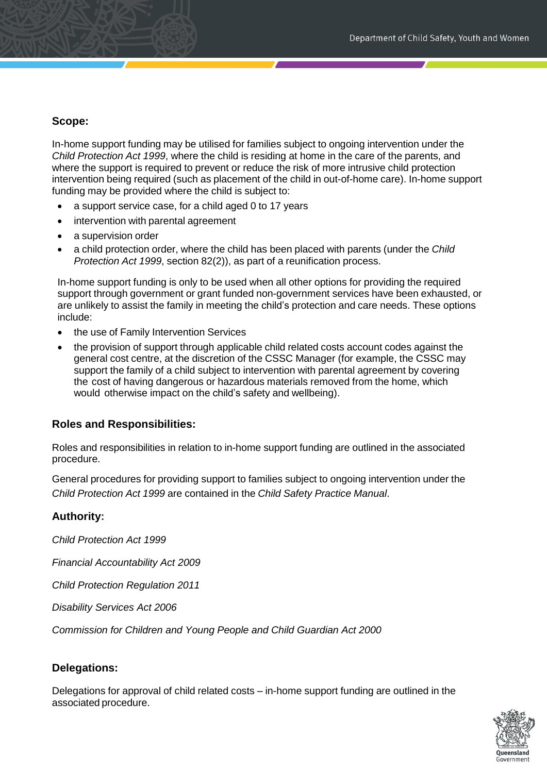### **Scope:**

In-home support funding may be utilised for families subject to ongoing intervention under the *Child Protection Act 1999*, where the child is residing at home in the care of the parents, and where the support is required to prevent or reduce the risk of more intrusive child protection intervention being required (such as placement of the child in out-of-home care). In-home support funding may be provided where the child is subject to:

- a support service case, for a child aged 0 to 17 years
- intervention with parental agreement
- a supervision order
- a child protection order, where the child has been placed with parents (under the *Child Protection Act 1999*, section 82(2)), as part of a reunification process.

In-home support funding is only to be used when all other options for providing the required support through government or grant funded non-government services have been exhausted, or are unlikely to assist the family in meeting the child's protection and care needs. These options include:

- the use of Family Intervention Services
- the provision of support through applicable child related costs account codes against the general cost centre, at the discretion of the CSSC Manager (for example, the CSSC may support the family of a child subject to intervention with parental agreement by covering the cost of having dangerous or hazardous materials removed from the home, which would otherwise impact on the child's safety and wellbeing).

## **Roles and Responsibilities:**

Roles and responsibilities in relation to in-home support funding are outlined in the associated procedure.

General procedures for providing support to families subject to ongoing intervention under the *Child Protection Act 1999* are contained in the *Child Safety Practice Manual*.

## **Authority:**

*Child Protection Act 1999*

*Financial Accountability Act 2009*

*Child Protection Regulation 2011*

*Disability Services Act 2006*

*Commission for Children and Young People and Child Guardian Act 2000*

## **Delegations:**

Delegations for approval of child related costs – in-home support funding are outlined in the associated procedure.

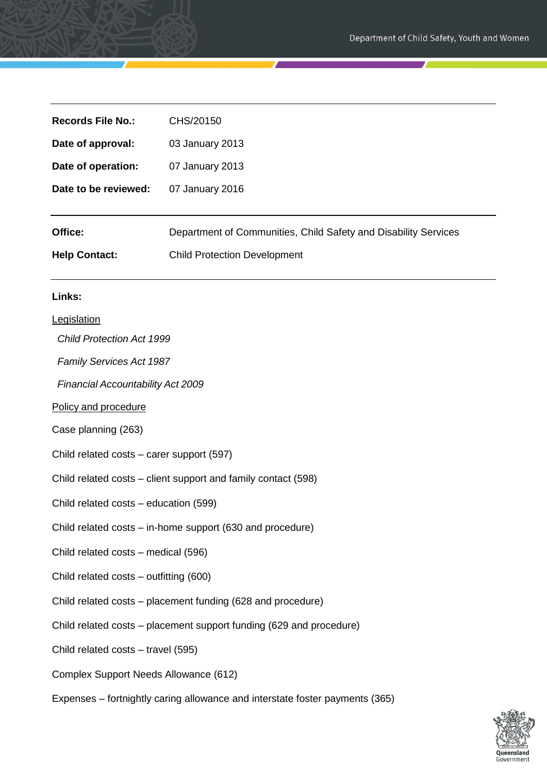| <b>Records File No.:</b>                                            | CHS/20150                                                                    |
|---------------------------------------------------------------------|------------------------------------------------------------------------------|
| Date of approval:                                                   | 03 January 2013                                                              |
| Date of operation:                                                  | 07 January 2013                                                              |
| Date to be reviewed:                                                | 07 January 2016                                                              |
| Office:                                                             | Department of Communities, Child Safety and Disability Services              |
| <b>Help Contact:</b>                                                | <b>Child Protection Development</b>                                          |
| Links:                                                              |                                                                              |
| Legislation                                                         |                                                                              |
| <b>Child Protection Act 1999</b>                                    |                                                                              |
| <b>Family Services Act 1987</b>                                     |                                                                              |
| Financial Accountability Act 2009                                   |                                                                              |
| Policy and procedure                                                |                                                                              |
| Case planning (263)                                                 |                                                                              |
| Child related costs - carer support (597)                           |                                                                              |
| Child related costs – client support and family contact (598)       |                                                                              |
| Child related costs – education (599)                               |                                                                              |
| Child related costs – in-home support (630 and procedure)           |                                                                              |
| Child related costs - medical (596)                                 |                                                                              |
| Child related costs - outfitting (600)                              |                                                                              |
| Child related costs – placement funding (628 and procedure)         |                                                                              |
| Child related costs – placement support funding (629 and procedure) |                                                                              |
| Child related costs - travel (595)                                  |                                                                              |
| Complex Support Needs Allowance (612)                               |                                                                              |
|                                                                     | Expenses – fortnightly caring allowance and interstate foster payments (365) |